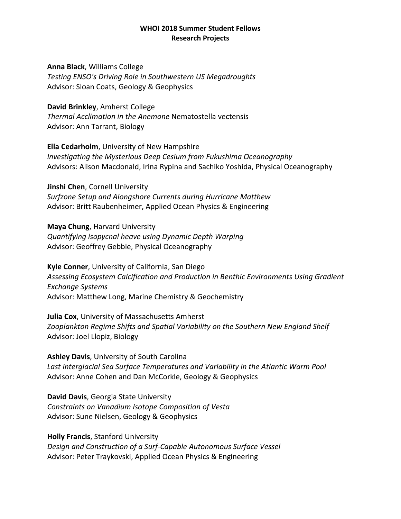# **Anna Black**, Williams College

*Testing ENSO's Driving Role in Southwestern US Megadroughts* Advisor: Sloan Coats, Geology & Geophysics

# **David Brinkley**, Amherst College

*Thermal Acclimation in the Anemone* Nematostella vectensis Advisor: Ann Tarrant, Biology

**Ella Cedarholm**, University of New Hampshire *Investigating the Mysterious Deep Cesium from Fukushima Oceanography* Advisors: Alison Macdonald, Irina Rypina and Sachiko Yoshida, Physical Oceanography

**Jinshi Chen**, Cornell University *Surfzone Setup and Alongshore Currents during Hurricane Matthew* Advisor: Britt Raubenheimer, Applied Ocean Physics & Engineering

**Maya Chung**, Harvard University *Quantifying isopycnal heave using Dynamic Depth Warping* Advisor: Geoffrey Gebbie, Physical Oceanography

**Kyle Conner**, University of California, San Diego *Assessing Ecosystem Calcification and Production in Benthic Environments Using Gradient Exchange Systems* Advisor: Matthew Long, Marine Chemistry & Geochemistry

**Julia Cox**, University of Massachusetts Amherst *Zooplankton Regime Shifts and Spatial Variability on the Southern New England Shelf* Advisor: Joel Llopiz, Biology

**Ashley Davis**, University of South Carolina *Last Interglacial Sea Surface Temperatures and Variability in the Atlantic Warm Pool* Advisor: Anne Cohen and Dan McCorkle, Geology & Geophysics

**David Davis**, Georgia State University *Constraints on Vanadium Isotope Composition of Vesta* Advisor: Sune Nielsen, Geology & Geophysics

**Holly Francis**, Stanford University *Design and Construction of a Surf-Capable Autonomous Surface Vessel* Advisor: Peter Traykovski, Applied Ocean Physics & Engineering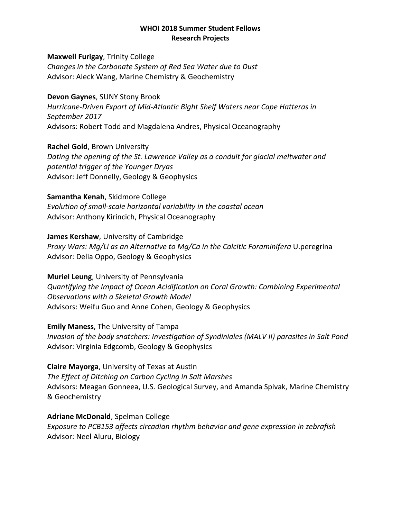**Maxwell Furigay**, Trinity College *Changes in the Carbonate System of Red Sea Water due to Dust* Advisor: Aleck Wang, Marine Chemistry & Geochemistry

**Devon Gaynes**, SUNY Stony Brook *Hurricane-Driven Export of Mid-Atlantic Bight Shelf Waters near Cape Hatteras in September 2017* Advisors: Robert Todd and Magdalena Andres, Physical Oceanography

**Rachel Gold**, Brown University *Dating the opening of the St. Lawrence Valley as a conduit for glacial meltwater and potential trigger of the Younger Dryas* Advisor: Jeff Donnelly, Geology & Geophysics

**Samantha Kenah**, Skidmore College *Evolution of small-scale horizontal variability in the coastal ocean* Advisor: Anthony Kirincich, Physical Oceanography

**James Kershaw**, University of Cambridge *Proxy Wars: Mg/Li as an Alternative to Mg/Ca in the Calcitic Foraminifera U.peregrina* Advisor: Delia Oppo, Geology & Geophysics

**Muriel Leung**, University of Pennsylvania *Quantifying the Impact of Ocean Acidification on Coral Growth: Combining Experimental Observations with a Skeletal Growth Model* Advisors: Weifu Guo and Anne Cohen, Geology & Geophysics

**Emily Maness**, The University of Tampa *Invasion of the body snatchers: Investigation of Syndiniales (MALV II) parasites in Salt Pond*  Advisor: Virginia Edgcomb, Geology & Geophysics

**Claire Mayorga**, University of Texas at Austin *The Effect of Ditching on Carbon Cycling in Salt Marshes* Advisors: Meagan Gonneea, U.S. Geological Survey, and Amanda Spivak, Marine Chemistry & Geochemistry

**Adriane McDonald**, Spelman College *Exposure to PCB153 affects circadian rhythm behavior and gene expression in zebrafish* Advisor: Neel Aluru, Biology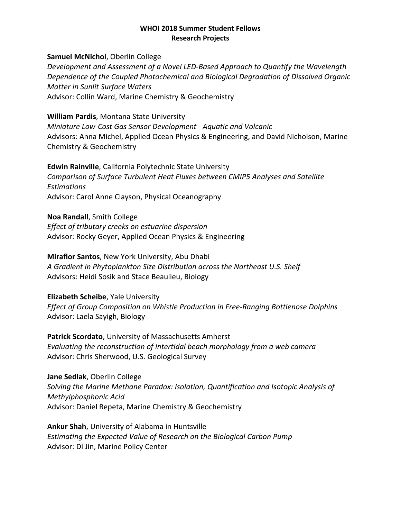# **Samuel McNichol**, Oberlin College

*Development and Assessment of a Novel LED-Based Approach to Quantify the Wavelength Dependence of the Coupled Photochemical and Biological Degradation of Dissolved Organic Matter in Sunlit Surface Waters* Advisor: Collin Ward, Marine Chemistry & Geochemistry

# **William Pardis**, Montana State University

*Miniature Low-Cost Gas Sensor Development - Aquatic and Volcanic* Advisors: Anna Michel, Applied Ocean Physics & Engineering, and David Nicholson, Marine Chemistry & Geochemistry

**Edwin Rainville**, California Polytechnic State University *Comparison of Surface Turbulent Heat Fluxes between CMIP5 Analyses and Satellite Estimations* Advisor: Carol Anne Clayson, Physical Oceanography

**Noa Randall**, Smith College

*Effect of tributary creeks on estuarine dispersion* Advisor: Rocky Geyer, Applied Ocean Physics & Engineering

# **Miraflor Santos**, New York University, Abu Dhabi

*A Gradient in Phytoplankton Size Distribution across the Northeast U.S. Shelf* Advisors: Heidi Sosik and Stace Beaulieu, Biology

#### **Elizabeth Scheibe**, Yale University

*Effect of Group Composition on Whistle Production in Free-Ranging Bottlenose Dolphins* Advisor: Laela Sayigh, Biology

**Patrick Scordato**, University of Massachusetts Amherst *Evaluating the reconstruction of intertidal beach morphology from a web camera*  Advisor: Chris Sherwood, U.S. Geological Survey

**Jane Sedlak**, Oberlin College *Solving the Marine Methane Paradox: Isolation, Quantification and Isotopic Analysis of Methylphosphonic Acid* Advisor: Daniel Repeta, Marine Chemistry & Geochemistry

**Ankur Shah**, University of Alabama in Huntsville *Estimating the Expected Value of Research on the Biological Carbon Pump* Advisor: Di Jin, Marine Policy Center